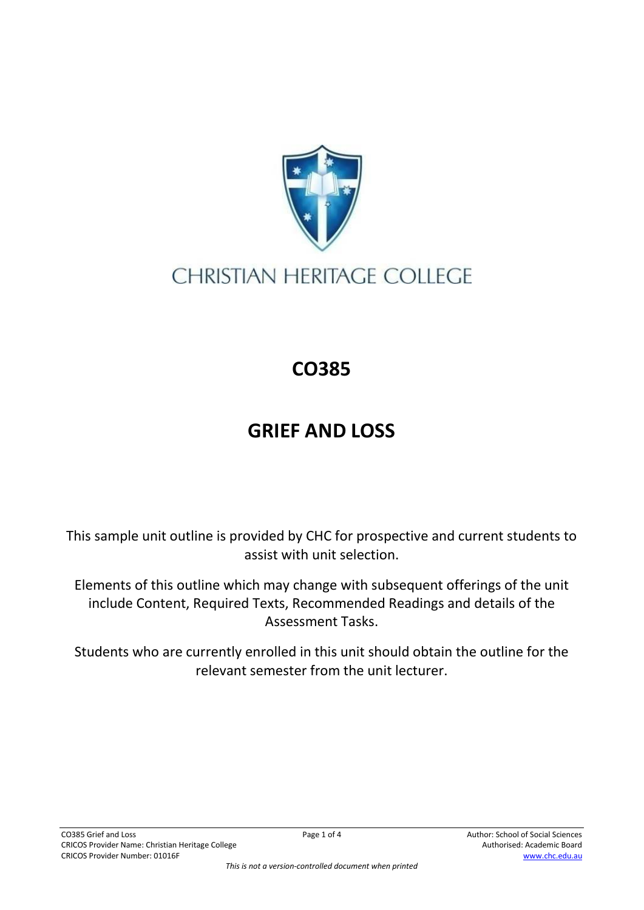

## **CHRISTIAN HERITAGE COLLEGE**

## **CO385**

## **GRIEF AND LOSS**

This sample unit outline is provided by CHC for prospective and current students to assist with unit selection.

Elements of this outline which may change with subsequent offerings of the unit include Content, Required Texts, Recommended Readings and details of the Assessment Tasks.

Students who are currently enrolled in this unit should obtain the outline for the relevant semester from the unit lecturer.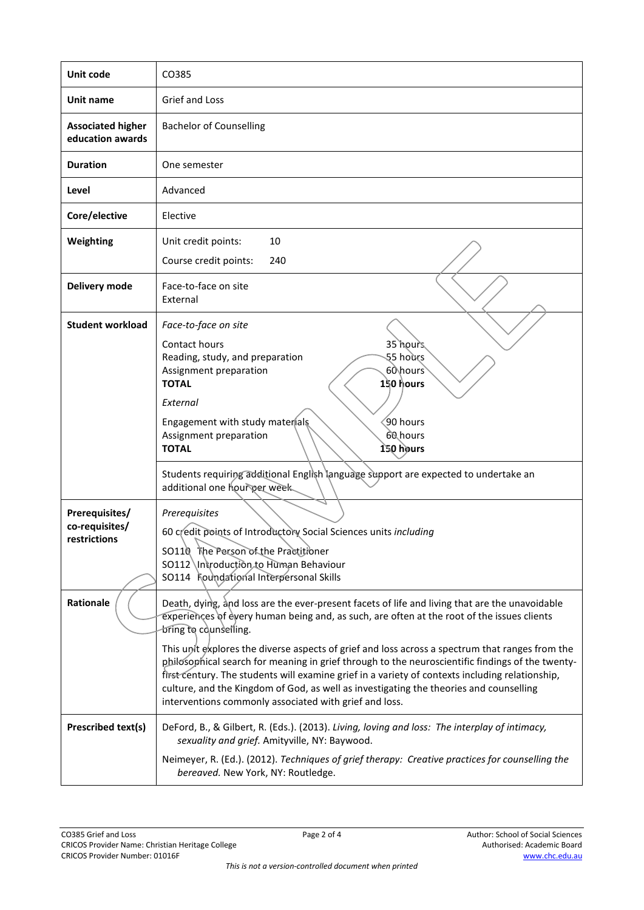| Unit code                                        | CO385                                                                                                                                                                                                                                                                                                                                                                                                                                                                                                                                                                                                                                                                               |
|--------------------------------------------------|-------------------------------------------------------------------------------------------------------------------------------------------------------------------------------------------------------------------------------------------------------------------------------------------------------------------------------------------------------------------------------------------------------------------------------------------------------------------------------------------------------------------------------------------------------------------------------------------------------------------------------------------------------------------------------------|
| Unit name                                        | Grief and Loss                                                                                                                                                                                                                                                                                                                                                                                                                                                                                                                                                                                                                                                                      |
| <b>Associated higher</b><br>education awards     | <b>Bachelor of Counselling</b>                                                                                                                                                                                                                                                                                                                                                                                                                                                                                                                                                                                                                                                      |
| <b>Duration</b>                                  | One semester                                                                                                                                                                                                                                                                                                                                                                                                                                                                                                                                                                                                                                                                        |
| Level                                            | Advanced                                                                                                                                                                                                                                                                                                                                                                                                                                                                                                                                                                                                                                                                            |
| Core/elective                                    | Elective                                                                                                                                                                                                                                                                                                                                                                                                                                                                                                                                                                                                                                                                            |
| Weighting                                        | Unit credit points:<br>10<br>Course credit points:<br>240                                                                                                                                                                                                                                                                                                                                                                                                                                                                                                                                                                                                                           |
| Delivery mode                                    | Face-to-face on site<br>External                                                                                                                                                                                                                                                                                                                                                                                                                                                                                                                                                                                                                                                    |
| <b>Student workload</b>                          | Face-to-face on site<br>35 hours<br>Contact hours<br>55 hours<br>Reading, study, and preparation<br>Assignment preparation<br>60\hours<br><b>TOTAL</b><br>150 hours<br>External<br>90 hours<br>Engagement with study materials<br>60 hours<br>Assignment preparation<br><b>TOTAL</b><br>150 hours                                                                                                                                                                                                                                                                                                                                                                                   |
|                                                  | Students requiring additional English language support are expected to undertake an<br>additional one hourger week.                                                                                                                                                                                                                                                                                                                                                                                                                                                                                                                                                                 |
| Prerequisites/<br>co-requisites/<br>restrictions | Prerequisites<br>60 credit points of Introductory Social Sciences units including<br>SO110 The Person of the Practitioner<br>SO112 Introduction to Human Behaviour<br>SO114 Foundational Interpersonal Skills                                                                                                                                                                                                                                                                                                                                                                                                                                                                       |
| Rationale                                        | Death, dying, and loss are the ever-present facets of life and living that are the unavoidable<br>experiences of every human being and, as such, are often at the root of the issues clients<br>bring to counselling.<br>This unit explores the diverse aspects of grief and loss across a spectrum that ranges from the<br>philosophical search for meaning in grief through to the neuroscientific findings of the twenty-<br>first century. The students will examine grief in a variety of contexts including relationship,<br>culture, and the Kingdom of God, as well as investigating the theories and counselling<br>interventions commonly associated with grief and loss. |
| <b>Prescribed text(s)</b>                        | DeFord, B., & Gilbert, R. (Eds.). (2013). Living, loving and loss: The interplay of intimacy,<br>sexuality and grief. Amityville, NY: Baywood.<br>Neimeyer, R. (Ed.). (2012). Techniques of grief therapy: Creative practices for counselling the<br>bereaved. New York, NY: Routledge.                                                                                                                                                                                                                                                                                                                                                                                             |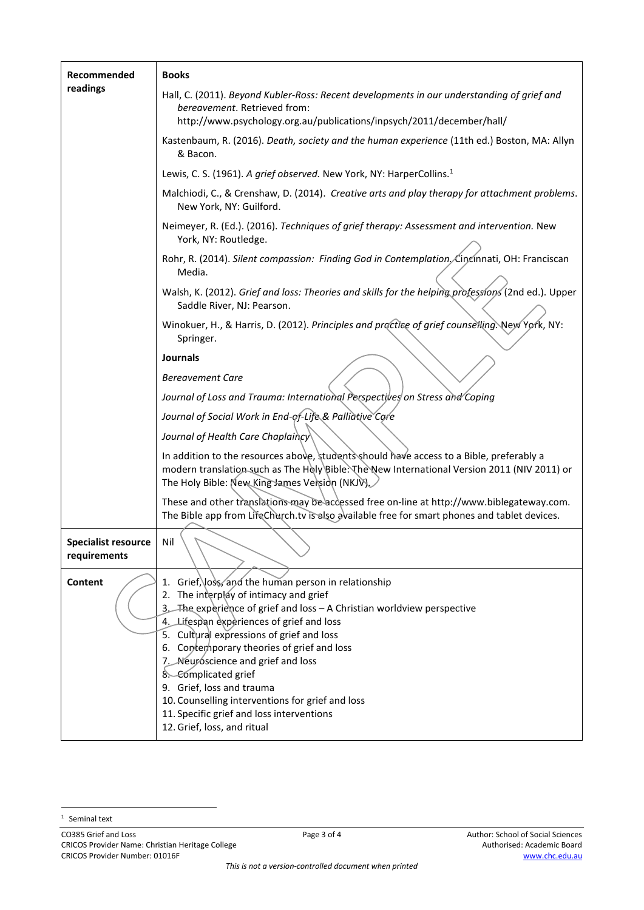| Recommended                                | <b>Books</b>                                                                                                                                                                                                                                                           |
|--------------------------------------------|------------------------------------------------------------------------------------------------------------------------------------------------------------------------------------------------------------------------------------------------------------------------|
| readings                                   | Hall, C. (2011). Beyond Kubler-Ross: Recent developments in our understanding of grief and<br>bereavement. Retrieved from:<br>http://www.psychology.org.au/publications/inpsych/2011/december/hall/                                                                    |
|                                            | Kastenbaum, R. (2016). Death, society and the human experience (11th ed.) Boston, MA: Allyn<br>& Bacon.                                                                                                                                                                |
|                                            | Lewis, C. S. (1961). A grief observed. New York, NY: HarperCollins. <sup>1</sup>                                                                                                                                                                                       |
|                                            | Malchiodi, C., & Crenshaw, D. (2014). Creative arts and play therapy for attachment problems.                                                                                                                                                                          |
|                                            | New York, NY: Guilford.                                                                                                                                                                                                                                                |
|                                            | Neimeyer, R. (Ed.). (2016). Techniques of grief therapy: Assessment and intervention. New<br>York, NY: Routledge.                                                                                                                                                      |
|                                            | Rohr, R. (2014). Silent compassion: Finding God in Contemplation, Cincinnati, OH: Franciscan<br>Media.                                                                                                                                                                 |
|                                            | Walsh, K. (2012). Grief and loss: Theories and skills for the helping professions (2nd ed.). Upper<br>Saddle River, NJ: Pearson.                                                                                                                                       |
|                                            | Winokuer, H., & Harris, D. (2012). Principles and practice of grief counselling. New York, NY:<br>Springer.                                                                                                                                                            |
|                                            | <b>Journals</b>                                                                                                                                                                                                                                                        |
|                                            | <b>Bereavement Care</b>                                                                                                                                                                                                                                                |
|                                            | Journal of Loss and Trauma: International Perspectives on Stress and Coping                                                                                                                                                                                            |
|                                            | Journal of Social Work in End-of-Life & Palliative Core                                                                                                                                                                                                                |
|                                            | Journal of Health Care Chaplaincy                                                                                                                                                                                                                                      |
|                                            | In addition to the resources above, students should have access to a Bible, preferably a<br>modern translation such as The Holy Bible: The New International Version 2011 (NIV 2011) or<br>The Holy Bible: New King James Version (NKJV)                               |
|                                            | These and other translations may be accessed free on-line at http://www.biblegateway.com.<br>The Bible app from LifeChurch.tv is also available free for smart phones and tablet devices.                                                                              |
| <b>Specialist resource</b><br>requirements | Nil                                                                                                                                                                                                                                                                    |
| Content                                    | 1. Grief, loss, and the human person in relationship<br>2. The interplay of intimacy and grief<br>3. The experience of grief and loss - A Christian worldview perspective<br>4. Lifespan experiences of grief and loss<br>5. Cultural expressions of grief and loss    |
|                                            | 6. Contem porary theories of grief and loss<br>7. Neuroscience and grief and loss<br>8. Complicated grief<br>9. Grief, loss and trauma<br>10. Counselling interventions for grief and loss<br>11. Specific grief and loss interventions<br>12. Grief, loss, and ritual |

<sup>&</sup>lt;sup>1</sup> Seminal text